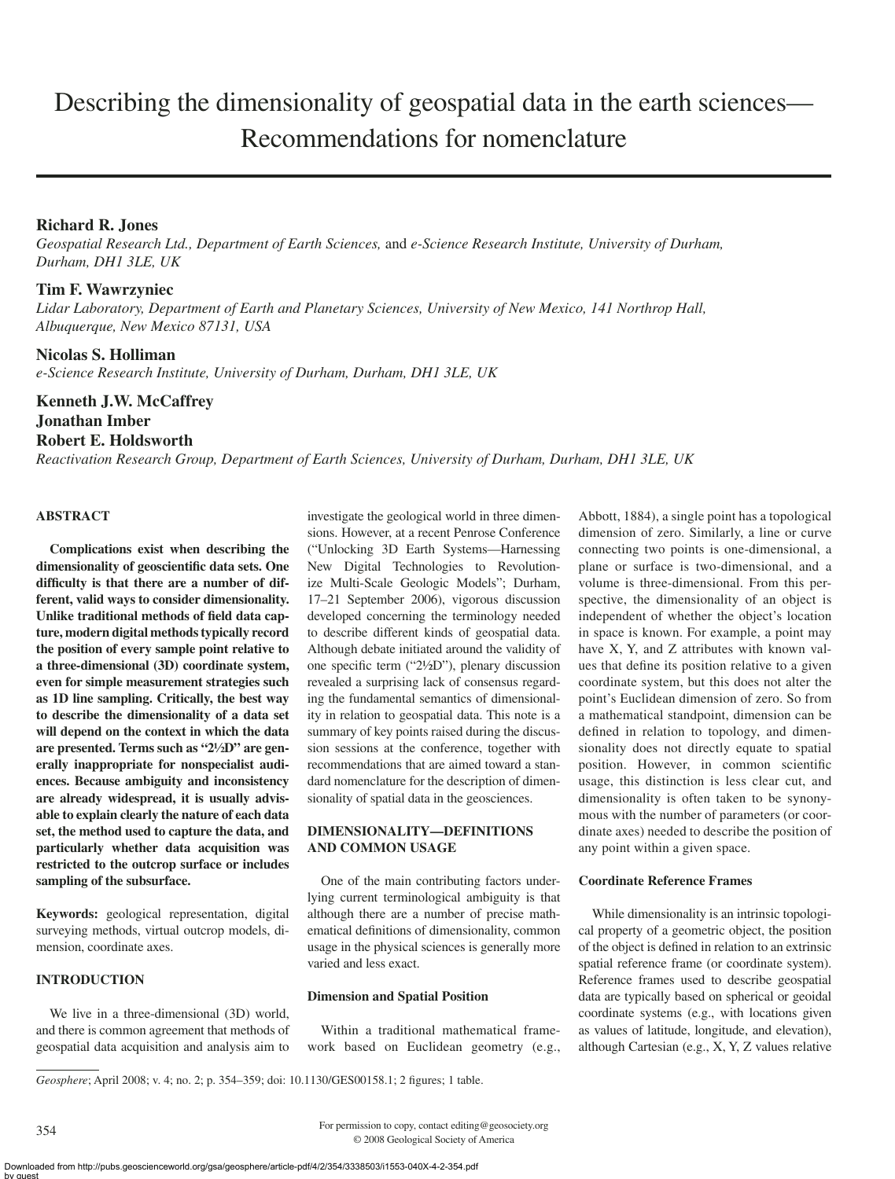# **Richard R. Jones**

*Geospatial Research Ltd., Department of Earth Sciences,* and *e-Science Research Institute, University of Durham, Durham, DH1 3LE, UK* 

# **Tim F. Wawrzyniec**

*Lidar Laboratory, Department of Earth and Planetary Sciences, University of New Mexico, 141 Northrop Hall, Albuquerque, New Mexico 87131, USA*

# **Nicolas S. Holliman**

*e-Science Research Institute, University of Durham, Durham, DH1 3LE, UK*

**Kenneth J.W. McCaffrey Jonathan Imber Robert E. Holdsworth**

*Reactivation Research Group, Department of Earth Sciences, University of Durham, Durham, DH1 3LE, UK*

### **ABSTRACT**

**Complications exist when describing the**  dimensionality of geoscientific data sets. One difficulty is that there are a number of dif**ferent, valid ways to consider dimensionality.**  Unlike traditional methods of field data cap**ture, modern digital methods typically record the position of every sample point relative to a three-dimensional (3D) coordinate system, even for simple measurement strategies such as 1D line sampling. Critically, the best way to describe the dimensionality of a data set will depend on the context in which the data are presented. Terms such as "2½D" are generally inappropriate for nonspecialist audiences. Because ambiguity and inconsistency are already widespread, it is usually advisable to explain clearly the nature of each data set, the method used to capture the data, and particularly whether data acquisition was restricted to the outcrop surface or includes sampling of the subsurface.**

**Keywords:** geological representation, digital surveying methods, virtual outcrop models, dimension, coordinate axes.

### **INTRODUCTION**

We live in a three-dimensional (3D) world, and there is common agreement that methods of geospatial data acquisition and analysis aim to investigate the geological world in three dimensions. However, at a recent Penrose Conference ("Unlocking 3D Earth Systems—Harnessing New Digital Technologies to Revolutionize Multi-Scale Geologic Models"; Durham, 17–21 September 2006), vigorous discussion developed concerning the terminology needed to describe different kinds of geospatial data. Although debate initiated around the validity of one specific term (" $2\frac{1}{2}D$ "), plenary discussion revealed a surprising lack of consensus regarding the fundamental semantics of dimensionality in relation to geospatial data. This note is a summary of key points raised during the discussion sessions at the conference, together with recommendations that are aimed toward a standard nomenclature for the description of dimensionality of spatial data in the geosciences.

# **DIMENSIONALITY—DEFINITIONS AND COMMON USAGE**

One of the main contributing factors underlying current terminological ambiguity is that although there are a number of precise mathematical definitions of dimensionality, common usage in the physical sciences is generally more varied and less exact.

### **Dimension and Spatial Position**

Within a traditional mathematical framework based on Euclidean geometry (e.g.,

Abbott, 1884), a single point has a topological dimension of zero. Similarly, a line or curve connecting two points is one-dimensional, a plane or surface is two-dimensional, and a volume is three-dimensional. From this perspective, the dimensionality of an object is independent of whether the object's location in space is known. For example, a point may have X, Y, and Z attributes with known values that define its position relative to a given coordinate system, but this does not alter the point's Euclidean dimension of zero. So from a mathematical standpoint, dimension can be defined in relation to topology, and dimensionality does not directly equate to spatial position. However, in common scientific usage, this distinction is less clear cut, and dimensionality is often taken to be synonymous with the number of parameters (or coordinate axes) needed to describe the position of any point within a given space.

#### **Coordinate Reference Frames**

While dimensionality is an intrinsic topological property of a geometric object, the position of the object is defined in relation to an extrinsic spatial reference frame (or coordinate system). Reference frames used to describe geospatial data are typically based on spherical or geoidal coordinate systems (e.g., with locations given as values of latitude, longitude, and elevation), although Cartesian (e.g., X, Y, Z values relative

For permission to copy, contact editing@geosociety.org © 2008 Geological Society of America

*Geosphere*; April 2008; v. 4; no. 2; p. 354-359; doi: 10.1130/GES00158.1; 2 figures; 1 table.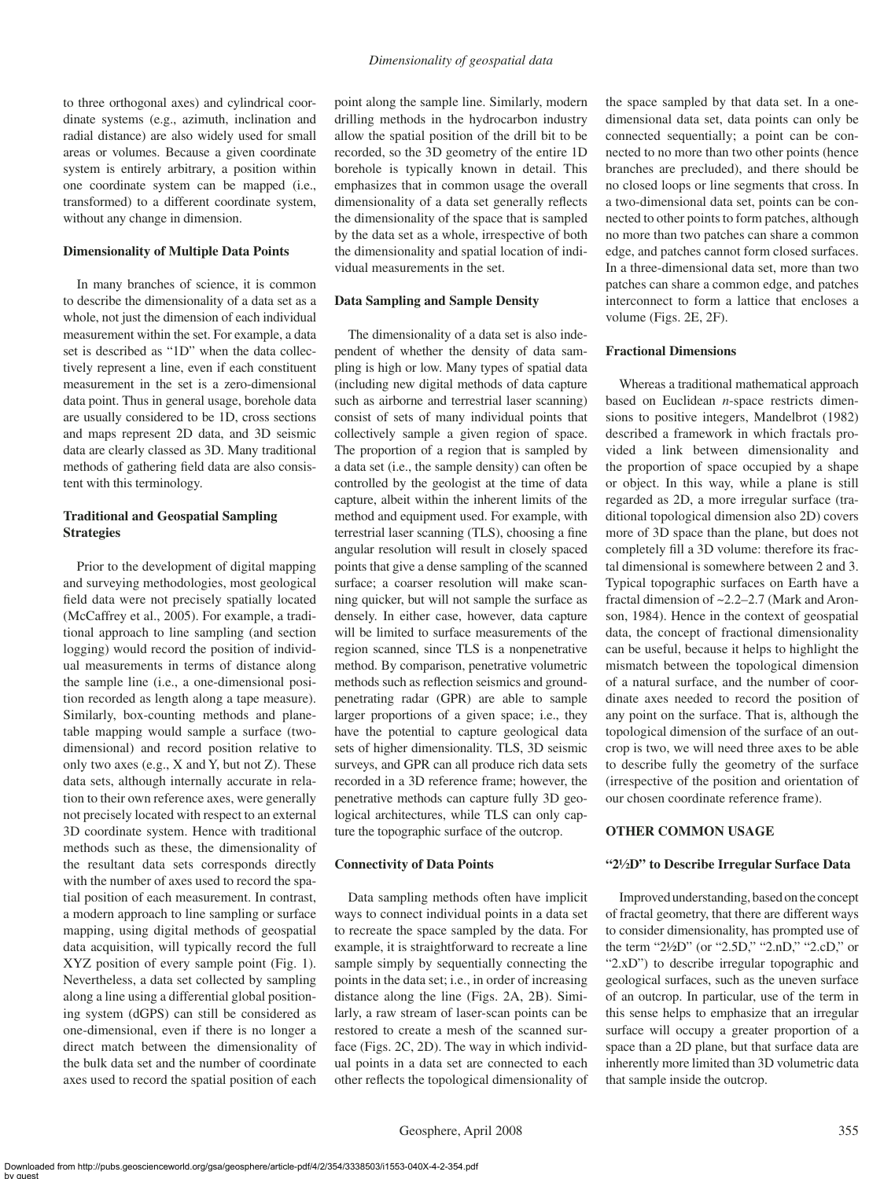to three orthogonal axes) and cylindrical coordinate systems (e.g., azimuth, inclination and radial distance) are also widely used for small areas or volumes. Because a given coordinate system is entirely arbitrary, a position within one coordinate system can be mapped (i.e., transformed) to a different coordinate system, without any change in dimension.

### **Dimensionality of Multiple Data Points**

In many branches of science, it is common to describe the dimensionality of a data set as a whole, not just the dimension of each individual measurement within the set. For example, a data set is described as "1D" when the data collectively represent a line, even if each constituent measurement in the set is a zero-dimensional data point. Thus in general usage, borehole data are usually considered to be 1D, cross sections and maps represent 2D data, and 3D seismic data are clearly classed as 3D. Many traditional methods of gathering field data are also consistent with this terminology.

# **Traditional and Geospatial Sampling Strategies**

Prior to the development of digital mapping and surveying methodologies, most geological field data were not precisely spatially located (McCaffrey et al., 2005). For example, a traditional approach to line sampling (and section logging) would record the position of individual measurements in terms of distance along the sample line (i.e., a one-dimensional position recorded as length along a tape measure). Similarly, box-counting methods and planetable mapping would sample a surface (twodimensional) and record position relative to only two axes (e.g., X and Y, but not Z). These data sets, although internally accurate in relation to their own reference axes, were generally not precisely located with respect to an external 3D coordinate system. Hence with traditional methods such as these, the dimensionality of the resultant data sets corresponds directly with the number of axes used to record the spatial position of each measurement. In contrast, a modern approach to line sampling or surface mapping, using digital methods of geospatial data acquisition, will typically record the full XYZ position of every sample point (Fig. 1). Nevertheless, a data set collected by sampling along a line using a differential global positioning system (dGPS) can still be considered as one-dimensional, even if there is no longer a direct match between the dimensionality of the bulk data set and the number of coordinate axes used to record the spatial position of each

point along the sample line. Similarly, modern drilling methods in the hydrocarbon industry allow the spatial position of the drill bit to be recorded, so the 3D geometry of the entire 1D borehole is typically known in detail. This emphasizes that in common usage the overall dimensionality of a data set generally reflects the dimensionality of the space that is sampled by the data set as a whole, irrespective of both the dimensionality and spatial location of individual measurements in the set.

#### **Data Sampling and Sample Density**

The dimensionality of a data set is also independent of whether the density of data sampling is high or low. Many types of spatial data (including new digital methods of data capture such as airborne and terrestrial laser scanning) consist of sets of many individual points that collectively sample a given region of space. The proportion of a region that is sampled by a data set (i.e., the sample density) can often be controlled by the geologist at the time of data capture, albeit within the inherent limits of the method and equipment used. For example, with terrestrial laser scanning (TLS), choosing a fine angular resolution will result in closely spaced points that give a dense sampling of the scanned surface; a coarser resolution will make scanning quicker, but will not sample the surface as densely. In either case, however, data capture will be limited to surface measurements of the region scanned, since TLS is a nonpenetrative method. By comparison, penetrative volumetric methods such as reflection seismics and groundpenetrating radar (GPR) are able to sample larger proportions of a given space; i.e., they have the potential to capture geological data sets of higher dimensionality. TLS, 3D seismic surveys, and GPR can all produce rich data sets recorded in a 3D reference frame; however, the penetrative methods can capture fully 3D geological architectures, while TLS can only capture the topographic surface of the outcrop.

### **Connectivity of Data Points**

Data sampling methods often have implicit ways to connect individual points in a data set to recreate the space sampled by the data. For example, it is straightforward to recreate a line sample simply by sequentially connecting the points in the data set; i.e., in order of increasing distance along the line (Figs. 2A, 2B). Similarly, a raw stream of laser-scan points can be restored to create a mesh of the scanned surface (Figs. 2C, 2D). The way in which individual points in a data set are connected to each other reflects the topological dimensionality of the space sampled by that data set. In a onedimensional data set, data points can only be connected sequentially; a point can be connected to no more than two other points (hence branches are precluded), and there should be no closed loops or line segments that cross. In a two-dimensional data set, points can be connected to other points to form patches, although no more than two patches can share a common edge, and patches cannot form closed surfaces. In a three-dimensional data set, more than two patches can share a common edge, and patches interconnect to form a lattice that encloses a volume (Figs. 2E, 2F).

### **Fractional Dimensions**

Whereas a traditional mathematical approach based on Euclidean *n*-space restricts dimensions to positive integers, Mandelbrot (1982) described a framework in which fractals provided a link between dimensionality and the proportion of space occupied by a shape or object. In this way, while a plane is still regarded as 2D, a more irregular surface (traditional topological dimension also 2D) covers more of 3D space than the plane, but does not completely fill a 3D volume: therefore its fractal dimensional is somewhere between 2 and 3. Typical topographic surfaces on Earth have a fractal dimension of ~2.2–2.7 (Mark and Aronson, 1984). Hence in the context of geospatial data, the concept of fractional dimensionality can be useful, because it helps to highlight the mismatch between the topological dimension of a natural surface, and the number of coordinate axes needed to record the position of any point on the surface. That is, although the topological dimension of the surface of an outcrop is two, we will need three axes to be able to describe fully the geometry of the surface (irrespective of the position and orientation of our chosen coordinate reference frame).

# **OTHER COMMON USAGE**

#### **"2½D" to Describe Irregular Surface Data**

Improved understanding, based on the concept of fractal geometry, that there are different ways to consider dimensionality, has prompted use of the term "2½D" (or "2.5D," "2.nD," "2.cD," or "2.xD") to describe irregular topographic and geological surfaces, such as the uneven surface of an outcrop. In particular, use of the term in this sense helps to emphasize that an irregular surface will occupy a greater proportion of a space than a 2D plane, but that surface data are inherently more limited than 3D volumetric data that sample inside the outcrop.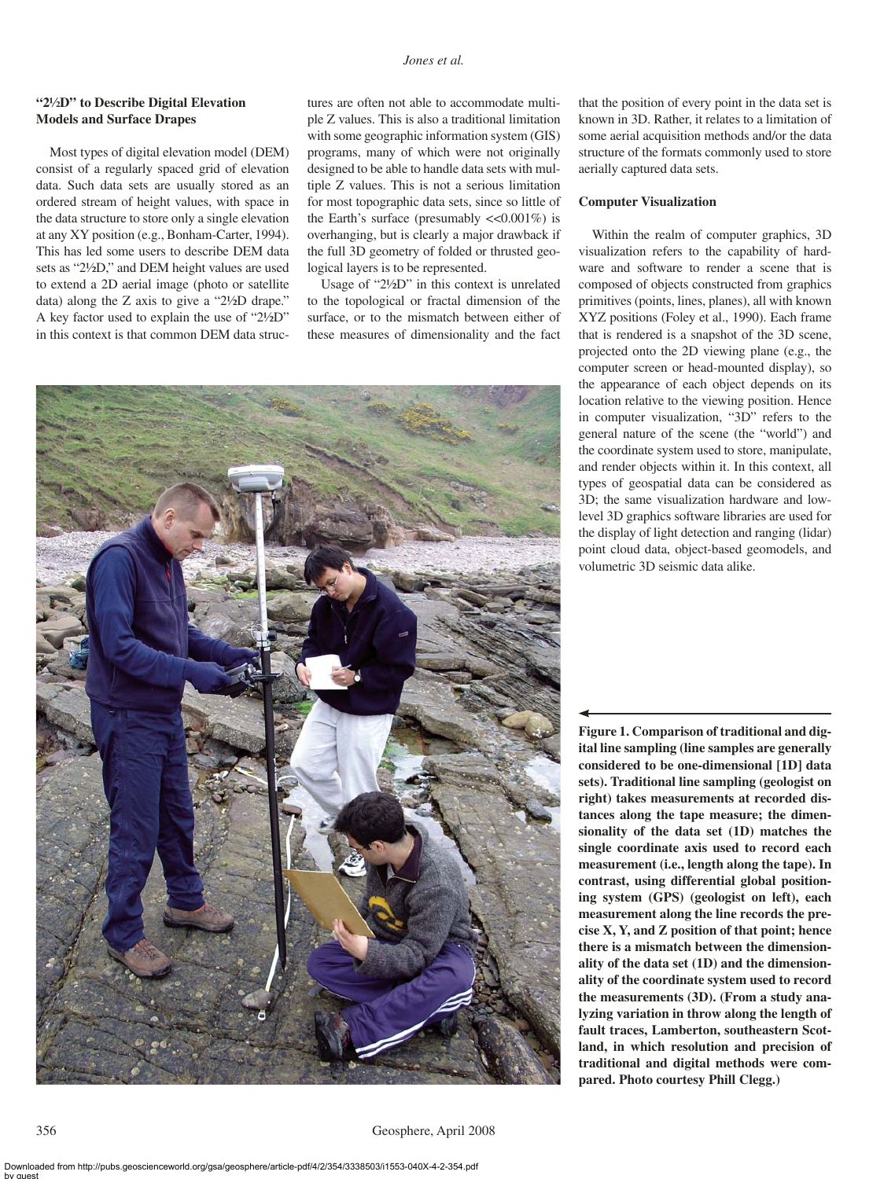### *Jones et al.*

### **"2½D" to Describe Digital Elevation Models and Surface Drapes**

Most types of digital elevation model (DEM) consist of a regularly spaced grid of elevation data. Such data sets are usually stored as an ordered stream of height values, with space in the data structure to store only a single elevation at any XY position (e.g., Bonham-Carter, 1994). This has led some users to describe DEM data sets as "2½D," and DEM height values are used to extend a 2D aerial image (photo or satellite data) along the Z axis to give a "2½D drape." A key factor used to explain the use of "2½D" in this context is that common DEM data structures are often not able to accommodate multiple Z values. This is also a traditional limitation with some geographic information system (GIS) programs, many of which were not originally designed to be able to handle data sets with multiple Z values. This is not a serious limitation for most topographic data sets, since so little of the Earth's surface (presumably  $\langle$ <0.001%) is overhanging, but is clearly a major drawback if the full 3D geometry of folded or thrusted geological layers is to be represented.

Usage of "2½D" in this context is unrelated to the topological or fractal dimension of the surface, or to the mismatch between either of these measures of dimensionality and the fact



that the position of every point in the data set is known in 3D. Rather, it relates to a limitation of some aerial acquisition methods and/or the data structure of the formats commonly used to store aerially captured data sets.

### **Computer Visualization**

Within the realm of computer graphics, 3D visualization refers to the capability of hardware and software to render a scene that is composed of objects constructed from graphics primitives (points, lines, planes), all with known XYZ positions (Foley et al., 1990). Each frame that is rendered is a snapshot of the 3D scene, projected onto the 2D viewing plane (e.g., the computer screen or head-mounted display), so the appearance of each object depends on its location relative to the viewing position. Hence in computer visualization, "3D" refers to the general nature of the scene (the "world") and the coordinate system used to store, manipulate, and render objects within it. In this context, all types of geospatial data can be considered as 3D; the same visualization hardware and lowlevel 3D graphics software libraries are used for the display of light detection and ranging (lidar) point cloud data, object-based geomodels, and volumetric 3D seismic data alike.

**Figure 1. Comparison of traditional and digital line sampling (line samples are generally considered to be one-dimensional [1D] data sets). Traditional line sampling (geologist on right) takes measurements at recorded distances along the tape measure; the dimensionality of the data set (1D) matches the single coordinate axis used to record each measurement (i.e., length along the tape). In contrast, using differential global positioning system (GPS) (geologist on left), each measurement along the line records the precise X, Y, and Z position of that point; hence there is a mismatch between the dimensionality of the data set (1D) and the dimensionality of the coordinate system used to record the measurements (3D). (From a study analyzing variation in throw along the length of fault traces, Lamberton, southeastern Scotland, in which resolution and precision of traditional and digital methods were compared. Photo courtesy Phill Clegg.)**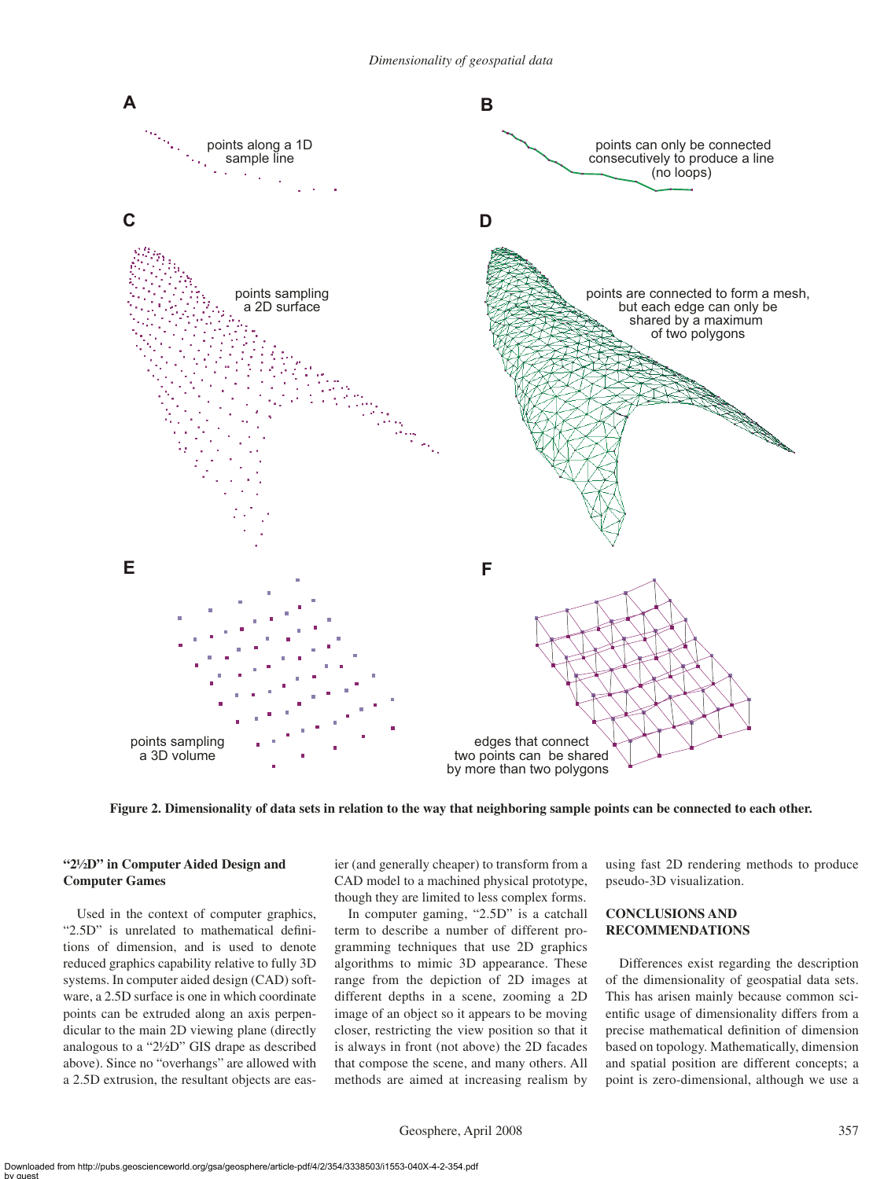

**Figure 2. Dimensionality of data sets in relation to the way that neighboring sample points can be connected to each other.** 

# **"2½D" in Computer Aided Design and Computer Games**

Used in the context of computer graphics, "2.5D" is unrelated to mathematical definitions of dimension, and is used to denote reduced graphics capability relative to fully 3D systems. In computer aided design (CAD) software, a 2.5D surface is one in which coordinate points can be extruded along an axis perpendicular to the main 2D viewing plane (directly analogous to a "2½D" GIS drape as described above). Since no "overhangs" are allowed with a 2.5D extrusion, the resultant objects are easier (and generally cheaper) to transform from a CAD model to a machined physical prototype, though they are limited to less complex forms.

In computer gaming, "2.5D" is a catchall term to describe a number of different programming techniques that use 2D graphics algorithms to mimic 3D appearance. These range from the depiction of 2D images at different depths in a scene, zooming a 2D image of an object so it appears to be moving closer, restricting the view position so that it is always in front (not above) the 2D facades that compose the scene, and many others. All methods are aimed at increasing realism by

using fast 2D rendering methods to produce pseudo-3D visualization.

# **CONCLUSIONS AND RECOMMENDATIONS**

Differences exist regarding the description of the dimensionality of geospatial data sets. This has arisen mainly because common scientific usage of dimensionality differs from a precise mathematical definition of dimension based on topology. Mathematically, dimension and spatial position are different concepts; a point is zero-dimensional, although we use a

Geosphere, April 2008 357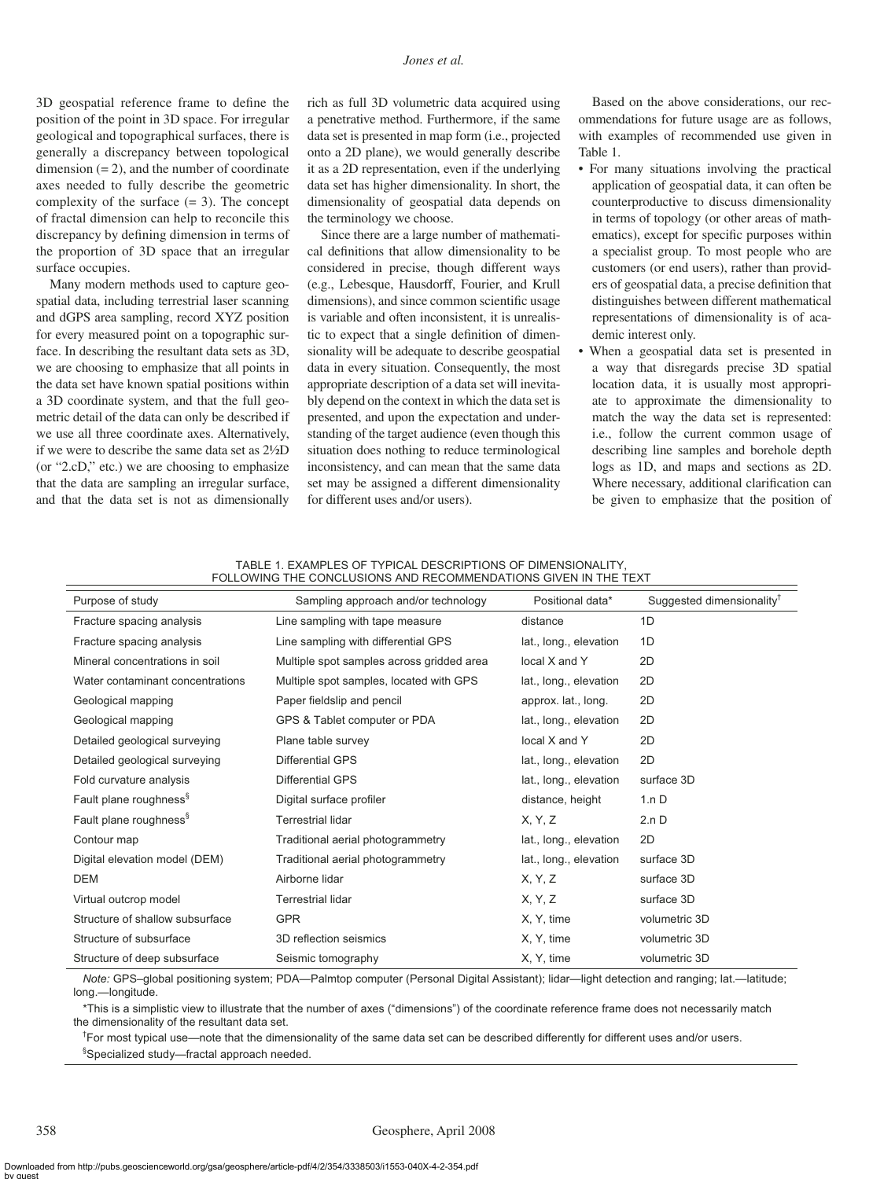#### *Jones et al.*

3D geospatial reference frame to define the position of the point in 3D space. For irregular geological and topographical surfaces, there is generally a discrepancy between topological dimension  $(= 2)$ , and the number of coordinate axes needed to fully describe the geometric complexity of the surface  $(= 3)$ . The concept of fractal dimension can help to reconcile this discrepancy by defining dimension in terms of the proportion of 3D space that an irregular surface occupies.

Many modern methods used to capture geospatial data, including terrestrial laser scanning and dGPS area sampling, record XYZ position for every measured point on a topographic surface. In describing the resultant data sets as 3D, we are choosing to emphasize that all points in the data set have known spatial positions within a 3D coordinate system, and that the full geometric detail of the data can only be described if we use all three coordinate axes. Alternatively, if we were to describe the same data set as 2½D (or "2.cD," etc.) we are choosing to emphasize that the data are sampling an irregular surface, and that the data set is not as dimensionally

rich as full 3D volumetric data acquired using a penetrative method. Furthermore, if the same data set is presented in map form (i.e., projected onto a 2D plane), we would generally describe it as a 2D representation, even if the underlying data set has higher dimensionality. In short, the dimensionality of geospatial data depends on the terminology we choose.

Since there are a large number of mathematical definitions that allow dimensionality to be considered in precise, though different ways (e.g., Lebesque, Hausdorff, Fourier, and Krull dimensions), and since common scientific usage is variable and often inconsistent, it is unrealistic to expect that a single definition of dimensionality will be adequate to describe geospatial data in every situation. Consequently, the most appropriate description of a data set will inevitably depend on the context in which the data set is presented, and upon the expectation and understanding of the target audience (even though this situation does nothing to reduce terminological inconsistency, and can mean that the same data set may be assigned a different dimensionality for different uses and/or users).

Based on the above considerations, our recommendations for future usage are as follows, with examples of recommended use given in Table 1.

- For many situations involving the practical application of geospatial data, it can often be counterproductive to discuss dimensionality in terms of topology (or other areas of mathematics), except for specific purposes within a specialist group. To most people who are customers (or end users), rather than providers of geospatial data, a precise definition that distinguishes between different mathematical representations of dimensionality is of academic interest only.
- When a geospatial data set is presented in a way that disregards precise 3D spatial location data, it is usually most appropriate to approximate the dimensionality to match the way the data set is represented: i.e., follow the current common usage of describing line samples and borehole depth logs as 1D, and maps and sections as 2D. Where necessary, additional clarification can be given to emphasize that the position of

|  |  | TABLE 1. EXAMPLES OF TYPICAL DESCRIPTIONS OF DIMENSIONALITY.    |  |  |  |
|--|--|-----------------------------------------------------------------|--|--|--|
|  |  | FOLLOWING THE CONCLUSIONS AND RECOMMENDATIONS GIVEN IN THE TEXT |  |  |  |

| Purpose of study                   | Sampling approach and/or technology       | Positional data*       | Suggested dimensionality <sup>T</sup> |
|------------------------------------|-------------------------------------------|------------------------|---------------------------------------|
| Fracture spacing analysis          | Line sampling with tape measure           | distance               | 1D                                    |
| Fracture spacing analysis          | Line sampling with differential GPS       | lat., long., elevation | 1D                                    |
| Mineral concentrations in soil     | Multiple spot samples across gridded area | local X and Y          | 2D                                    |
| Water contaminant concentrations   | Multiple spot samples, located with GPS   | lat., long., elevation | 2D                                    |
| Geological mapping                 | Paper fieldslip and pencil                | approx. lat., long.    | 2D                                    |
| Geological mapping                 | GPS & Tablet computer or PDA              | lat., long., elevation | 2D                                    |
| Detailed geological surveying      | Plane table survey                        | local X and Y          | 2D                                    |
| Detailed geological surveying      | <b>Differential GPS</b>                   | lat., long., elevation | 2D                                    |
| Fold curvature analysis            | <b>Differential GPS</b>                   | lat., long., elevation | surface 3D                            |
| Fault plane roughness <sup>§</sup> | Digital surface profiler                  | distance, height       | 1.n D                                 |
| Fault plane roughness <sup>§</sup> | <b>Terrestrial lidar</b>                  | X, Y, Z                | 2.n D                                 |
| Contour map                        | Traditional aerial photogrammetry         | lat., long., elevation | 2D                                    |
| Digital elevation model (DEM)      | Traditional aerial photogrammetry         | lat., long., elevation | surface 3D                            |
| <b>DEM</b>                         | Airborne lidar                            | X, Y, Z                | surface 3D                            |
| Virtual outcrop model              | <b>Terrestrial lidar</b>                  | X, Y, Z                | surface 3D                            |
| Structure of shallow subsurface    | <b>GPR</b>                                | X, Y, time             | volumetric 3D                         |
| Structure of subsurface            | 3D reflection seismics                    | X, Y, time             | volumetric 3D                         |
| Structure of deep subsurface       | Seismic tomography                        | X, Y, time             | volumetric 3D                         |

 *Note:* GPS–global positioning system; PDA—Palmtop computer (Personal Digital Assistant); lidar—light detection and ranging; lat.—latitude; long.—longitude.

 \*This is a simplistic view to illustrate that the number of axes ("dimensions") of the coordinate reference frame does not necessarily match the dimensionality of the resultant data set.

<sup>†</sup>For most typical use—note that the dimensionality of the same data set can be described differently for different uses and/or users. § Specialized study—fractal approach needed.